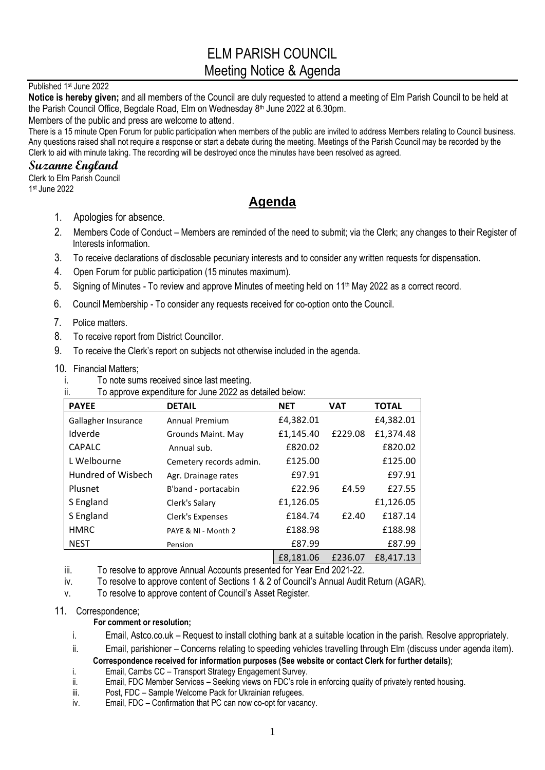# ELM PARISH COUNCIL Meeting Notice & Agenda

#### Published 1st June 2022

**Notice is hereby given;** and all members of the Council are duly requested to attend a meeting of Elm Parish Council to be held at the Parish Council Office, Begdale Road, Elm on Wednesday 8<sup>th</sup> June 2022 at 6.30pm.

Members of the public and press are welcome to attend.

There is a 15 minute Open Forum for public participation when members of the public are invited to address Members relating to Council business. Any questions raised shall not require a response or start a debate during the meeting. Meetings of the Parish Council may be recorded by the Clerk to aid with minute taking. The recording will be destroyed once the minutes have been resolved as agreed.

## **Suzanne England**

Clerk to Elm Parish Council 1 st June 2022

## **Agenda**

- 1. Apologies for absence.
- 2. Members Code of Conduct Members are reminded of the need to submit; via the Clerk; any changes to their Register of Interests information.
- 3. To receive declarations of disclosable pecuniary interests and to consider any written requests for dispensation.
- 4. Open Forum for public participation (15 minutes maximum).
- 5. Signing of Minutes To review and approve Minutes of meeting held on 11<sup>th</sup> May 2022 as a correct record.
- 6. Council Membership To consider any requests received for co-option onto the Council.
- 7. Police matters.
- 8. To receive report from District Councillor.
- 9. To receive the Clerk's report on subjects not otherwise included in the agenda.
- 10. Financial Matters;
	- i. To note sums received since last meeting.
	- ii. To approve expenditure for June 2022 as detailed below:

| <b>PAYEE</b>        | <b>DETAIL</b>           | <b>NET</b> | <b>VAT</b> | <b>TOTAL</b> |
|---------------------|-------------------------|------------|------------|--------------|
| Gallagher Insurance | <b>Annual Premium</b>   | £4,382.01  |            | £4,382.01    |
| Idverde             | Grounds Maint. May      | £1,145.40  | £229.08    | £1,374.48    |
| <b>CAPALC</b>       | Annual sub.             | £820.02    |            | £820.02      |
| L Welbourne         | Cemetery records admin. | £125.00    |            | £125.00      |
| Hundred of Wisbech  | Agr. Drainage rates     | £97.91     |            | £97.91       |
| Plusnet             | B'band - portacabin     | £22.96     | £4.59      | £27.55       |
| S England           | Clerk's Salary          | £1,126.05  |            | £1,126.05    |
| S England           | Clerk's Expenses        | £184.74    | £2.40      | £187.14      |
| <b>HMRC</b>         | PAYE & NI - Month 2     | £188.98    |            | £188.98      |
| <b>NEST</b>         | Pension                 | £87.99     |            | £87.99       |
|                     |                         | £8,181.06  | £236.07    | £8,417.13    |

- iii. To resolve to approve Annual Accounts presented for Year End 2021-22.
- iv. To resolve to approve content of Sections 1 & 2 of Council's Annual Audit Return (AGAR).
- v. To resolve to approve content of Council's Asset Register.

### 11. Correspondence;

- **For comment or resolution;**
- i. Email, Astco.co.uk Request to install clothing bank at a suitable location in the parish. Resolve appropriately.
- ii. Email, parishioner Concerns relating to speeding vehicles travelling through Elm (discuss under agenda item).

#### **Correspondence received for information purposes (See website or contact Clerk for further details)**; i. Email, Cambs CC – Transport Strategy Engagement Survey.

- ii. Email, FDC Member Services Seeking views on FDC's role in enforcing quality of privately rented housing.
- iii. Post, FDC Sample Welcome Pack for Ukrainian refugees.
- iv. Email, FDC Confirmation that PC can now co-opt for vacancy.